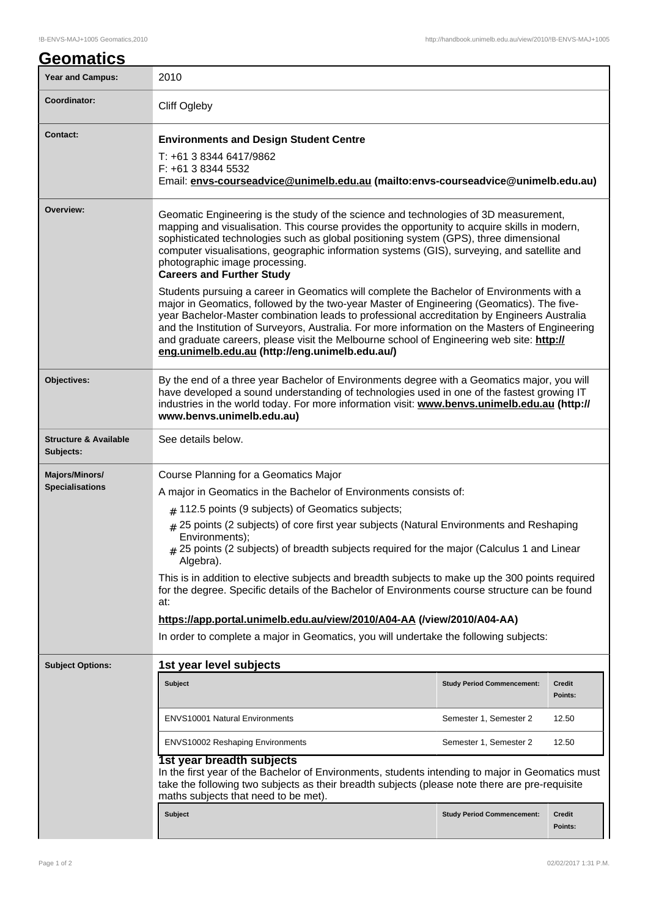## **Geomatics** Year and Campus: 2010 **Coordinator:** Cliff Ogleby **Contact: Environments and Design Student Centre** T: +61 3 8344 6417/9862 F: +61 3 8344 5532 Email: **envs-courseadvice@unimelb.edu.au (mailto:envs-courseadvice@unimelb.edu.au) Overview:** Geomatic Engineering is the study of the science and technologies of 3D measurement, mapping and visualisation. This course provides the opportunity to acquire skills in modern, sophisticated technologies such as global positioning system (GPS), three dimensional computer visualisations, geographic information systems (GIS), surveying, and satellite and photographic image processing. **Careers and Further Study** Students pursuing a career in Geomatics will complete the Bachelor of Environments with a major in Geomatics, followed by the two-year Master of Engineering (Geomatics). The fiveyear Bachelor-Master combination leads to professional accreditation by Engineers Australia and the Institution of Surveyors, Australia. For more information on the Masters of Engineering and graduate careers, please visit the Melbourne school of Engineering web site: **http:// eng.unimelb.edu.au (http://eng.unimelb.edu.au/) Objectives:** By the end of a three year Bachelor of Environments degree with a Geomatics major, you will have developed a sound understanding of technologies used in one of the fastest growing IT industries in the world today. For more information visit: **www.benvs.unimelb.edu.au (http:// www.benvs.unimelb.edu.au) Structure & Available Subjects:** See details below. **Majors/Minors/ Specialisations** Course Planning for a Geomatics Major A major in Geomatics in the Bachelor of Environments consists of:  $_{\#}$  112.5 points (9 subjects) of Geomatics subjects;  $_ #$  25 points (2 subjects) of core first year subjects (Natural Environments and Reshaping Environments); # 25 points (2 subjects) of breadth subjects required for the major (Calculus 1 and Linear Algebra). This is in addition to elective subjects and breadth subjects to make up the 300 points required for the degree. Specific details of the Bachelor of Environments course structure can be found at: **https://app.portal.unimelb.edu.au/view/2010/A04-AA (/view/2010/A04-AA)** In order to complete a major in Geomatics, you will undertake the following subjects: **Subject Options: 1st year level subjects Subject Study Period Commencement: Credit Points:** ENVS10001 Natural Environments Semester 1, Semester 2 12.50 ENVS10002 Reshaping Environments Semester 1, Semester 2 12.50 **1st year breadth subjects** In the first year of the Bachelor of Environments, students intending to major in Geomatics must take the following two subjects as their breadth subjects (please note there are pre-requisite maths subjects that need to be met). **Subject Study Period Commencement: Credit Points:**